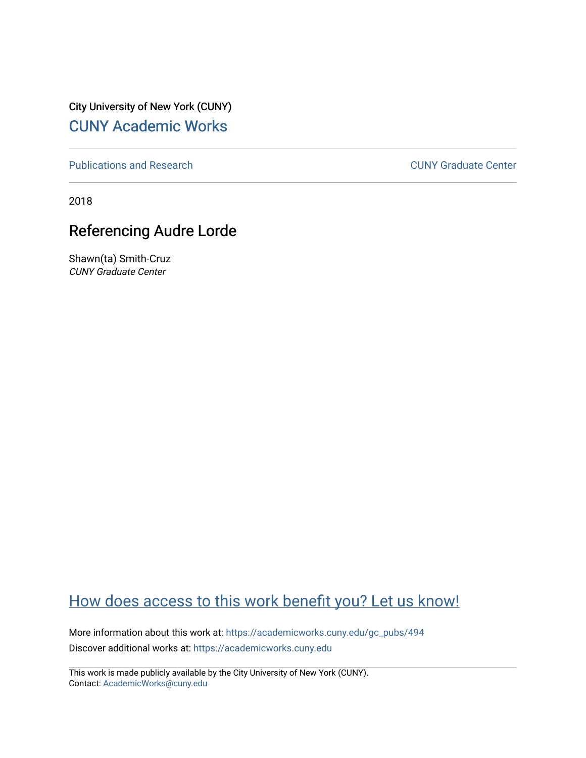City University of New York (CUNY) [CUNY Academic Works](https://academicworks.cuny.edu/) 

[Publications and Research](https://academicworks.cuny.edu/gc_pubs) [CUNY Graduate Center](https://academicworks.cuny.edu/gc) 

2018

# Referencing Audre Lorde

Shawn(ta) Smith-Cruz CUNY Graduate Center

# [How does access to this work benefit you? Let us know!](http://ols.cuny.edu/academicworks/?ref=https://academicworks.cuny.edu/gc_pubs/494)

More information about this work at: [https://academicworks.cuny.edu/gc\\_pubs/494](https://academicworks.cuny.edu/gc_pubs/494) Discover additional works at: [https://academicworks.cuny.edu](https://academicworks.cuny.edu/?)

This work is made publicly available by the City University of New York (CUNY). Contact: [AcademicWorks@cuny.edu](mailto:AcademicWorks@cuny.edu)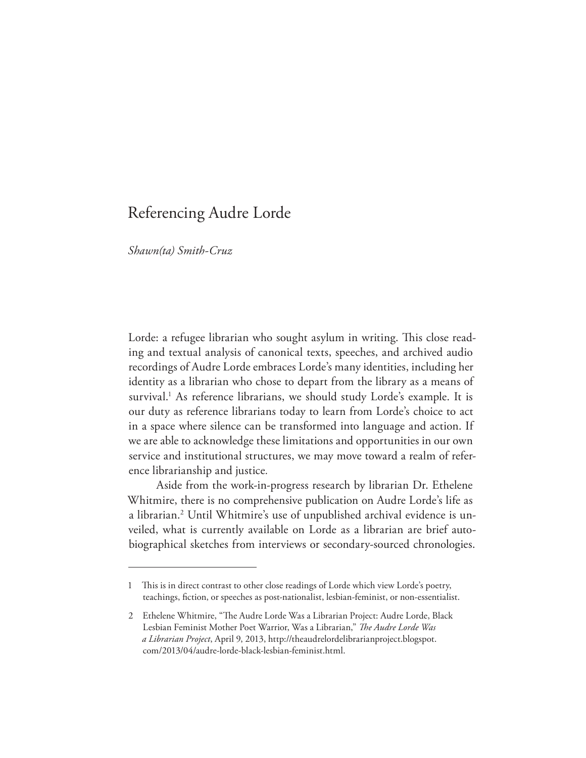## Referencing Audre Lorde

*Shawn(ta) Smith-Cruz*

Lorde: a refugee librarian who sought asylum in writing. This close reading and textual analysis of canonical texts, speeches, and archived audio recordings of Audre Lorde embraces Lorde's many identities, including her identity as a librarian who chose to depart from the library as a means of survival.1 As reference librarians, we should study Lorde's example. It is our duty as reference librarians today to learn from Lorde's choice to act in a space where silence can be transformed into language and action. If we are able to acknowledge these limitations and opportunities in our own service and institutional structures, we may move toward a realm of reference librarianship and justice*.*

Aside from the work-in-progress research by librarian Dr. Ethelene Whitmire, there is no comprehensive publication on Audre Lorde's life as a librarian.2 Until Whitmire's use of unpublished archival evidence is unveiled, what is currently available on Lorde as a librarian are brief autobiographical sketches from interviews or secondary-sourced chronologies.

This is in direct contrast to other close readings of Lorde which view Lorde's poetry, teachings, fction, or speeches as post-nationalist, lesbian-feminist, or non-essentialist.

<sup>2</sup> Ethelene Whitmire, "The Audre Lorde Was a Librarian Project: Audre Lorde, Black Lesbian Feminist Mother Poet Warrior, Was a Librarian," *Te Audre Lorde Was a Librarian Project*, April 9, 2013, http://theaudrelordelibrarianproject.blogspot. com/2013/04/audre-lorde-black-lesbian-feminist.html.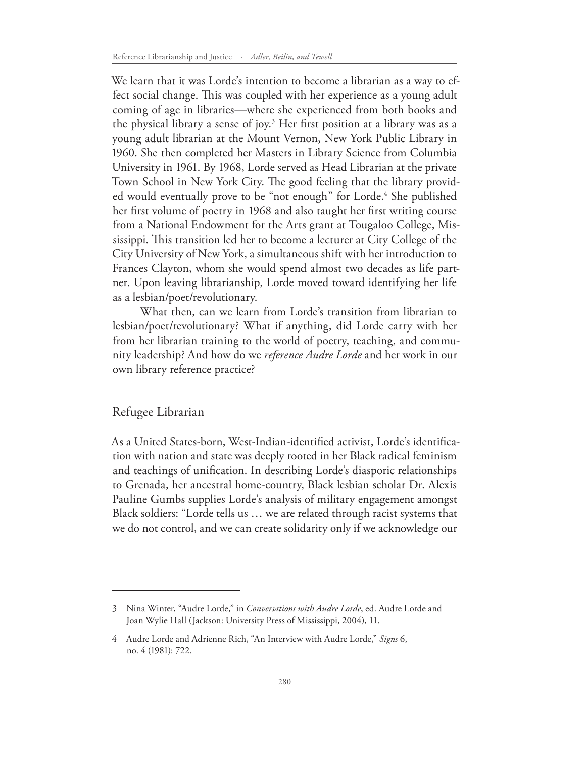We learn that it was Lorde's intention to become a librarian as a way to effect social change. This was coupled with her experience as a young adult coming of age in libraries—where she experienced from both books and the physical library a sense of joy.<sup>3</sup> Her first position at a library was as a young adult librarian at the Mount Vernon, New York Public Library in 1960. She then completed her Masters in Library Science from Columbia University in 1961. By 1968, Lorde served as Head Librarian at the private Town School in New York City. The good feeling that the library provided would eventually prove to be "not enough" for Lorde.<sup>4</sup> She published her frst volume of poetry in 1968 and also taught her frst writing course from a National Endowment for the Arts grant at Tougaloo College, Mississippi. This transition led her to become a lecturer at City College of the City University of New York, a simultaneous shift with her introduction to Frances Clayton, whom she would spend almost two decades as life partner. Upon leaving librarianship, Lorde moved toward identifying her life as a lesbian/poet/revolutionary.

What then, can we learn from Lorde's transition from librarian to lesbian/poet/revolutionary? What if anything, did Lorde carry with her from her librarian training to the world of poetry, teaching, and community leadership? And how do we *reference Audre Lorde* and her work in our own library reference practice?

#### Refugee Librarian

As a United States-born, West-Indian-identifed activist, Lorde's identifcation with nation and state was deeply rooted in her Black radical feminism and teachings of unifcation. In describing Lorde's diasporic relationships to Grenada, her ancestral home-country, Black lesbian scholar Dr. Alexis Pauline Gumbs supplies Lorde's analysis of military engagement amongst Black soldiers: "Lorde tells us … we are related through racist systems that we do not control, and we can create solidarity only if we acknowledge our

<sup>3</sup> Nina Winter, "Audre Lorde," in *Conversations with Audre Lorde*, ed. Audre Lorde and Joan Wylie Hall (Jackson: University Press of Mississippi, 2004), 11.

<sup>4</sup> Audre Lorde and Adrienne Rich, "An Interview with Audre Lorde," *Signs* 6, no. 4 (1981): 722.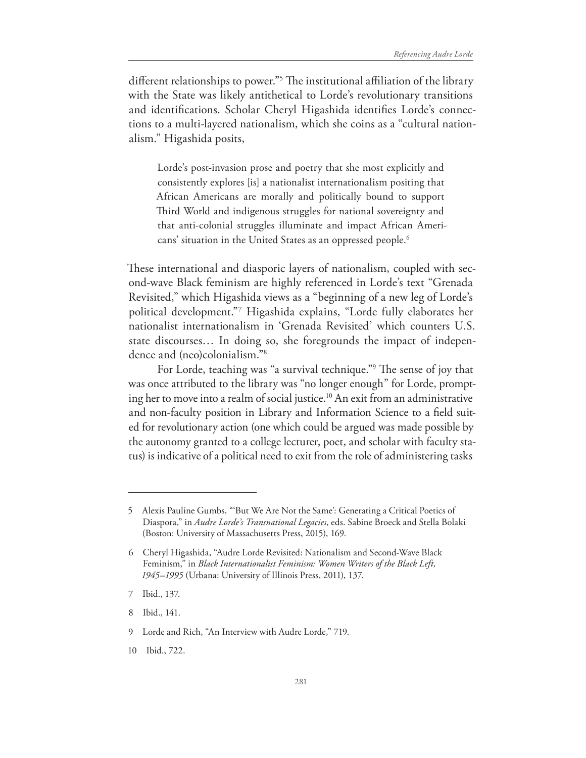different relationships to power."<sup>5</sup> The institutional affiliation of the library with the State was likely antithetical to Lorde's revolutionary transitions and identifcations. Scholar Cheryl Higashida identifes Lorde's connections to a multi-layered nationalism, which she coins as a "cultural nationalism." Higashida posits,

Lorde's post-invasion prose and poetry that she most explicitly and consistently explores [is] a nationalist internationalism positing that African Americans are morally and politically bound to support Third World and indigenous struggles for national sovereignty and that anti-colonial struggles illuminate and impact African Americans' situation in the United States as an oppressed people.<sup>6</sup>

These international and diasporic layers of nationalism, coupled with second-wave Black feminism are highly referenced in Lorde's text "Grenada Revisited," which Higashida views as a "beginning of a new leg of Lorde's political development."7 Higashida explains, "Lorde fully elaborates her nationalist internationalism in 'Grenada Revisited' which counters U.S. state discourses… In doing so, she foregrounds the impact of independence and (neo)colonialism."8

For Lorde, teaching was "a survival technique."<sup>9</sup> The sense of joy that was once attributed to the library was "no longer enough" for Lorde, prompting her to move into a realm of social justice.10 An exit from an administrative and non-faculty position in Library and Information Science to a feld suited for revolutionary action (one which could be argued was made possible by the autonomy granted to a college lecturer, poet, and scholar with faculty status) is indicative of a political need to exit from the role of administering tasks

8 Ibid., 141.

<sup>5</sup> Alexis Pauline Gumbs, "'But We Are Not the Same': Generating a Critical Poetics of Diaspora," in *Audre Lorde's Transnational Legacies*, eds. Sabine Broeck and Stella Bolaki (Boston: University of Massachusetts Press, 2015), 169.

<sup>6</sup> Cheryl Higashida, "Audre Lorde Revisited: Nationalism and Second-Wave Black Feminism," in *Black Internationalist Feminism: Women Writers of the Black Left, 1945–1995* (Urbana: University of Illinois Press, 2011), 137.

<sup>7</sup> Ibid., 137.

<sup>9</sup> Lorde and Rich, "An Interview with Audre Lorde," 719.

<sup>10</sup> Ibid., 722.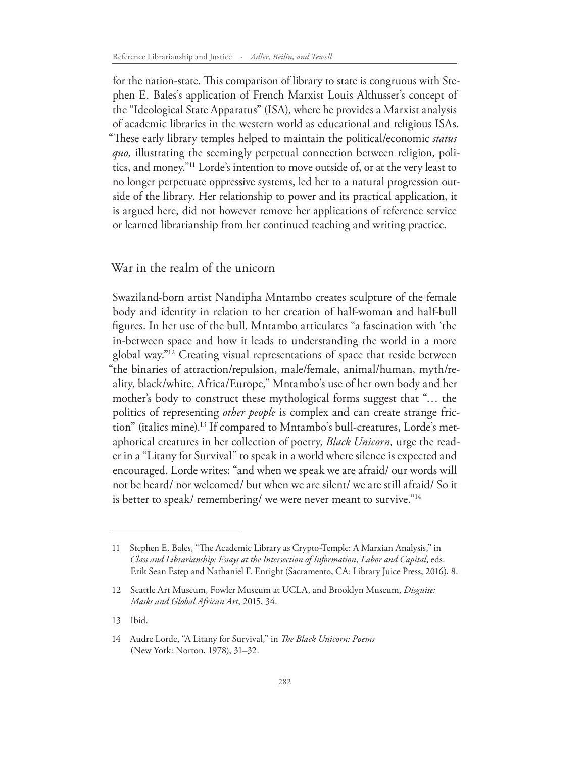for the nation-state. This comparison of library to state is congruous with Stephen E. Bales's application of French Marxist Louis Althusser's concept of the "Ideological State Apparatus" (ISA), where he provides a Marxist analysis of academic libraries in the western world as educational and religious ISAs. "These early library temples helped to maintain the political/economic status *quo,* illustrating the seemingly perpetual connection between religion, politics, and money."11 Lorde's intention to move outside of, or at the very least to no longer perpetuate oppressive systems, led her to a natural progression outside of the library. Her relationship to power and its practical application, it is argued here, did not however remove her applications of reference service or learned librarianship from her continued teaching and writing practice.

War in the realm of the unicorn

Swaziland-born artist Nandipha Mntambo creates sculpture of the female body and identity in relation to her creation of half-woman and half-bull fgures. In her use of the bull, Mntambo articulates "a fascination with 'the in-between space and how it leads to understanding the world in a more global way."12 Creating visual representations of space that reside between "the binaries of attraction/repulsion, male/female, animal/human, myth/reality, black/white, Africa/Europe," Mntambo's use of her own body and her mother's body to construct these mythological forms suggest that "… the politics of representing *other people* is complex and can create strange friction" (italics mine).13 If compared to Mntambo's bull-creatures, Lorde's metaphorical creatures in her collection of poetry, *Black Unicorn,* urge the reader in a "Litany for Survival" to speak in a world where silence is expected and encouraged. Lorde writes: "and when we speak we are afraid/ our words will not be heard/ nor welcomed/ but when we are silent/ we are still afraid/ So it is better to speak/ remembering/ we were never meant to survive."<sup>14</sup>

<sup>11</sup> Stephen E. Bales, "The Academic Library as Crypto-Temple: A Marxian Analysis," in *Class and Librarianship: Essays at the Intersection of Information, Labor and Capital*, eds. Erik Sean Estep and Nathaniel F. Enright (Sacramento, CA: Library Juice Press, 2016), 8.

<sup>12</sup> Seattle Art Museum, Fowler Museum at UCLA, and Brooklyn Museum, *Disguise: Masks and Global African Art*, 2015, 34.

<sup>13</sup> Ibid.

<sup>14</sup> Audre Lorde, "A Litany for Survival," in *Te Black Unicorn: Poems* (New York: Norton, 1978), 31–32.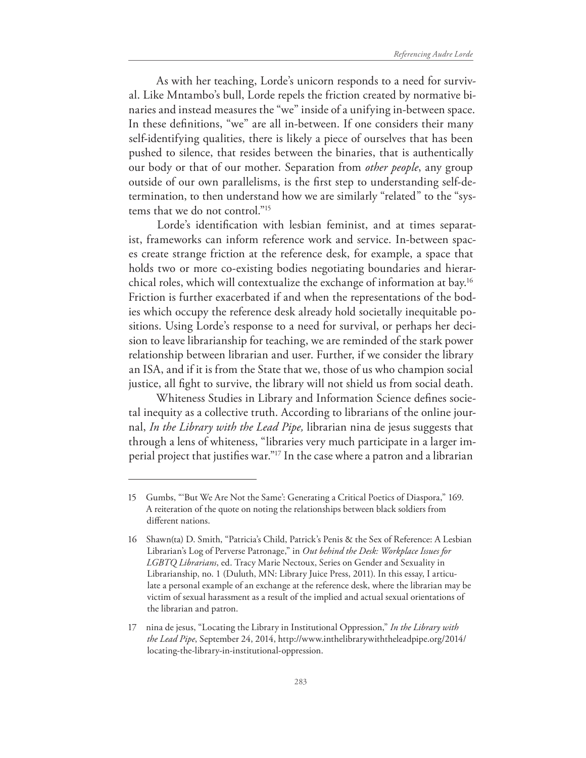As with her teaching, Lorde's unicorn responds to a need for survival. Like Mntambo's bull, Lorde repels the friction created by normative binaries and instead measures the "we" inside of a unifying in-between space. In these defnitions, "we" are all in-between. If one considers their many self-identifying qualities, there is likely a piece of ourselves that has been pushed to silence, that resides between the binaries, that is authentically our body or that of our mother. Separation from *other people*, any group outside of our own parallelisms, is the frst step to understanding self-determination, to then understand how we are similarly "related" to the "systems that we do not control."15

Lorde's identifcation with lesbian feminist, and at times separatist, frameworks can inform reference work and service. In-between spaces create strange friction at the reference desk, for example, a space that holds two or more co-existing bodies negotiating boundaries and hierarchical roles, which will contextualize the exchange of information at bay.16 Friction is further exacerbated if and when the representations of the bodies which occupy the reference desk already hold societally inequitable positions. Using Lorde's response to a need for survival, or perhaps her decision to leave librarianship for teaching, we are reminded of the stark power relationship between librarian and user. Further, if we consider the library an ISA, and if it is from the State that we, those of us who champion social justice, all fght to survive, the library will not shield us from social death.

Whiteness Studies in Library and Information Science defnes societal inequity as a collective truth. According to librarians of the online journal, *In the Library with the Lead Pipe,* librarian nina de jesus suggests that through a lens of whiteness, "libraries very much participate in a larger imperial project that justifes war."17 In the case where a patron and a librarian

<sup>15</sup> Gumbs, "'But We Are Not the Same': Generating a Critical Poetics of Diaspora," 169. A reiteration of the quote on noting the relationships between black soldiers from diferent nations.

<sup>16</sup> Shawn(ta) D. Smith, "Patricia's Child, Patrick's Penis & the Sex of Reference: A Lesbian Librarian's Log of Perverse Patronage," in *Out behind the Desk: Workplace Issues for LGBTQ Librarians*, ed. Tracy Marie Nectoux, Series on Gender and Sexuality in Librarianship, no. 1 (Duluth, MN: Library Juice Press, 2011). In this essay, I articulate a personal example of an exchange at the reference desk, where the librarian may be victim of sexual harassment as a result of the implied and actual sexual orientations of the librarian and patron.

<sup>17</sup> nina de jesus, "Locating the Library in Institutional Oppression," *In the Library with the Lead Pipe*, September 24, 2014, http://www.inthelibrarywiththeleadpipe.org/2014/ locating-the-library-in-institutional-oppression.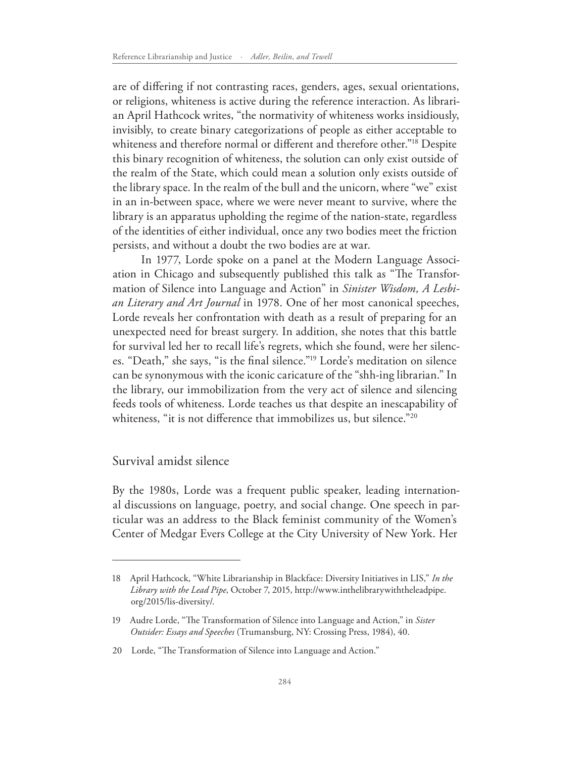are of difering if not contrasting races, genders, ages, sexual orientations, or religions, whiteness is active during the reference interaction. As librarian April Hathcock writes, "the normativity of whiteness works insidiously, invisibly, to create binary categorizations of people as either acceptable to whiteness and therefore normal or different and therefore other."<sup>18</sup> Despite this binary recognition of whiteness, the solution can only exist outside of the realm of the State, which could mean a solution only exists outside of the library space. In the realm of the bull and the unicorn, where "we" exist in an in-between space, where we were never meant to survive, where the library is an apparatus upholding the regime of the nation-state, regardless of the identities of either individual, once any two bodies meet the friction persists, and without a doubt the two bodies are at war.

In 1977, Lorde spoke on a panel at the Modern Language Association in Chicago and subsequently published this talk as "The Transformation of Silence into Language and Action" in *Sinister Wisdom, A Lesbian Literary and Art Journal* in 1978. One of her most canonical speeches, Lorde reveals her confrontation with death as a result of preparing for an unexpected need for breast surgery. In addition, she notes that this battle for survival led her to recall life's regrets, which she found, were her silences. "Death," she says, "is the fnal silence."19 Lorde's meditation on silence can be synonymous with the iconic caricature of the "shh-ing librarian." In the library, our immobilization from the very act of silence and silencing feeds tools of whiteness. Lorde teaches us that despite an inescapability of whiteness, "it is not difference that immobilizes us, but silence."<sup>20</sup>

#### Survival amidst silence

By the 1980s, Lorde was a frequent public speaker, leading international discussions on language, poetry, and social change. One speech in particular was an address to the Black feminist community of the Women's Center of Medgar Evers College at the City University of New York. Her

<sup>18</sup> April Hathcock, "White Librarianship in Blackface: Diversity Initiatives in LIS," *In the Library with the Lead Pipe*, October 7, 2015, http://www.inthelibrarywiththeleadpipe. org/2015/lis-diversity/.

<sup>19</sup> Audre Lorde, "The Transformation of Silence into Language and Action," in *Sister Outsider: Essays and Speeches* (Trumansburg, NY: Crossing Press, 1984), 40.

<sup>20</sup> Lorde, "The Transformation of Silence into Language and Action."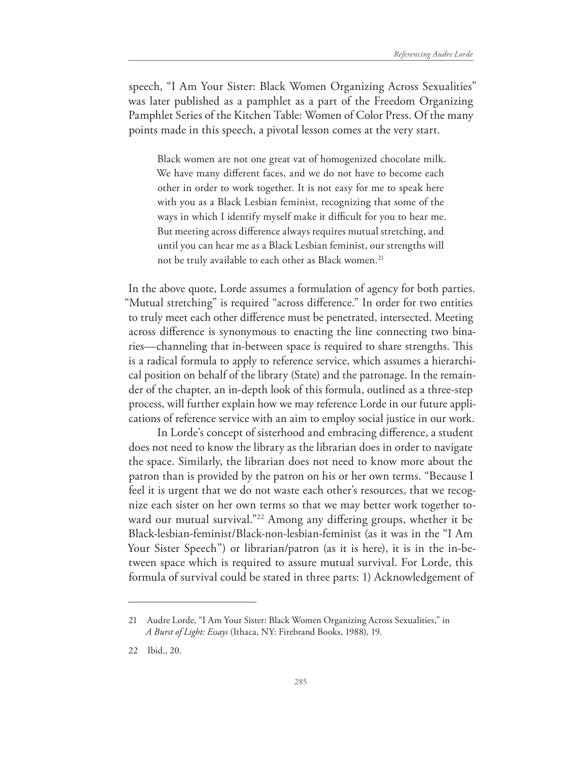speech, "I Am Your Sister: Black Women Organizing Across Sexualities" was later published as a pamphlet as a part of the Freedom Organizing Pamphlet Series of the Kitchen Table: Women of Color Press. Of the many points made in this speech, a pivotal lesson comes at the very start.

Black women are not one great vat of homogenized chocolate milk. We have many diferent faces, and we do not have to become each other in order to work together. It is not easy for me to speak here with you as a Black Lesbian feminist, recognizing that some of the ways in which I identify myself make it difficult for you to hear me. But meeting across diference always requires mutual stretching, and until you can hear me as a Black Lesbian feminist, our strengths will not be truly available to each other as Black women.<sup>21</sup>

In the above quote, Lorde assumes a formulation of agency for both parties. "Mutual stretching" is required "across diference." In order for two entities to truly meet each other diference must be penetrated, intersected. Meeting across diference is synonymous to enacting the line connecting two binaries—channeling that in-between space is required to share strengths. This is a radical formula to apply to reference service, which assumes a hierarchical position on behalf of the library (State) and the patronage. In the remainder of the chapter, an in-depth look of this formula, outlined as a three-step process, will further explain how we may reference Lorde in our future applications of reference service with an aim to employ social justice in our work.

In Lorde's concept of sisterhood and embracing diference, a student does not need to know the library as the librarian does in order to navigate the space. Similarly, the librarian does not need to know more about the patron than is provided by the patron on his or her own terms. "Because I feel it is urgent that we do not waste each other's resources, that we recognize each sister on her own terms so that we may better work together toward our mutual survival."<sup>22</sup> Among any differing groups, whether it be Black-lesbian-feminist/Black-non-lesbian-feminist (as it was in the "I Am Your Sister Speech") or librarian/patron (as it is here), it is in the in-between space which is required to assure mutual survival. For Lorde, this formula of survival could be stated in three parts: 1) Acknowledgement of

<sup>21</sup> Audre Lorde, "I Am Your Sister: Black Women Organizing Across Sexualities," in *A Burst of Light: Essays* (Ithaca, NY: Firebrand Books, 1988), 19.

<sup>22</sup> Ibid., 20.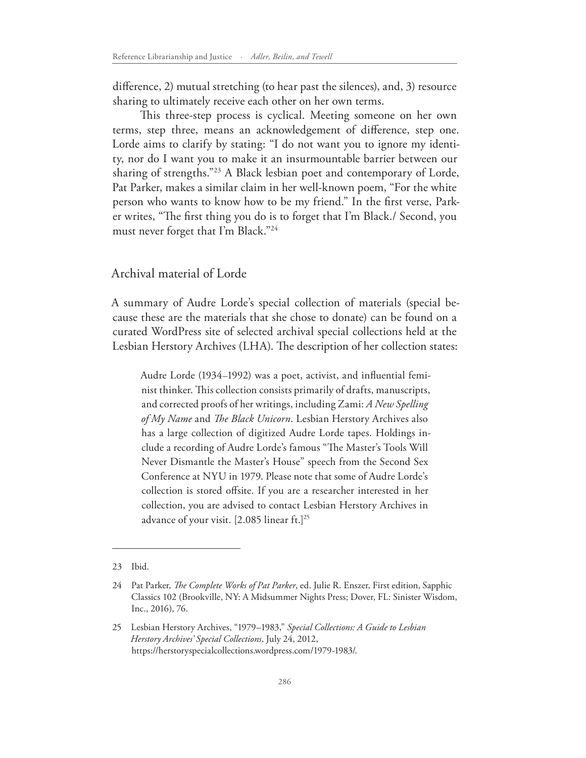diference, 2) mutual stretching (to hear past the silences), and, 3) resource sharing to ultimately receive each other on her own terms.

This three-step process is cyclical. Meeting someone on her own terms, step three, means an acknowledgement of diference, step one. Lorde aims to clarify by stating: "I do not want you to ignore my identity, nor do I want you to make it an insurmountable barrier between our sharing of strengths."23 A Black lesbian poet and contemporary of Lorde, Pat Parker, makes a similar claim in her well-known poem, "For the white person who wants to know how to be my friend." In the frst verse, Parker writes, "The first thing you do is to forget that I'm Black./ Second, you must never forget that I'm Black."24

### Archival material of Lorde

A summary of Audre Lorde's special collection of materials (special because these are the materials that she chose to donate) can be found on a curated WordPress site of selected archival special collections held at the Lesbian Herstory Archives (LHA). The description of her collection states:

Audre Lorde (1934–1992) was a poet, activist, and infuential feminist thinker. This collection consists primarily of drafts, manuscripts, and corrected proofs of her writings, including Zami: *A New Spelling of My Name* and *Te Black Unicorn*. Lesbian Herstory Archives also has a large collection of digitized Audre Lorde tapes. Holdings include a recording of Audre Lorde's famous "The Master's Tools Will Never Dismantle the Master's House" speech from the Second Sex Conference at NYU in 1979. Please note that some of Audre Lorde's collection is stored ofsite. If you are a researcher interested in her collection, you are advised to contact Lesbian Herstory Archives in advance of your visit. [2.085 linear ft.]<sup>25</sup>

<sup>23</sup> Ibid.

<sup>24</sup> Pat Parker, *Te Complete Works of Pat Parker*, ed. Julie R. Enszer, First edition, Sapphic Classics 102 (Brookville, NY: A Midsummer Nights Press; Dover, FL: Sinister Wisdom, Inc., 2016), 76.

<sup>25</sup> Lesbian Herstory Archives, "1979–1983," *Special Collections: A Guide to Lesbian Herstory Archives' Special Collections*, July 24, 2012, https://herstoryspecialcollections.wordpress.com/1979-1983/.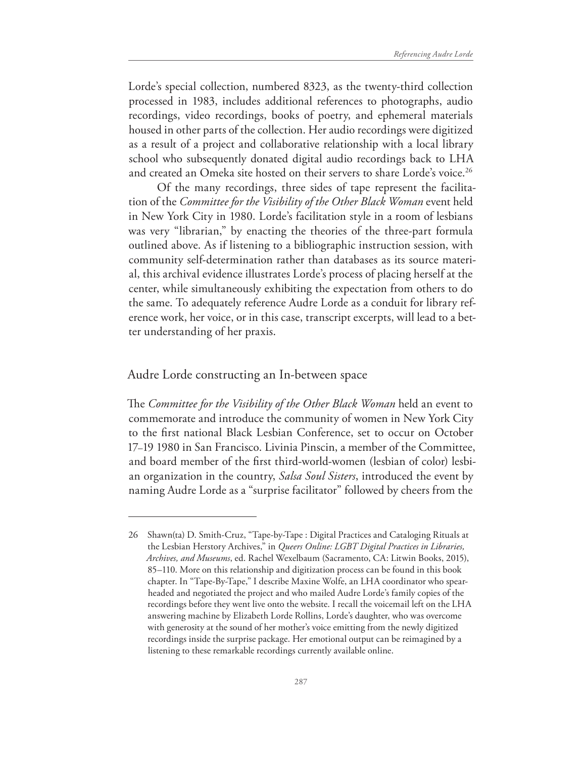Lorde's special collection, numbered 8323, as the twenty-third collection processed in 1983, includes additional references to photographs, audio recordings, video recordings, books of poetry, and ephemeral materials housed in other parts of the collection. Her audio recordings were digitized as a result of a project and collaborative relationship with a local library school who subsequently donated digital audio recordings back to LHA and created an Omeka site hosted on their servers to share Lorde's voice.<sup>26</sup>

Of the many recordings, three sides of tape represent the facilitation of the *Committee for the Visibility of the Other Black Woman* event held in New York City in 1980. Lorde's facilitation style in a room of lesbians was very "librarian," by enacting the theories of the three-part formula outlined above. As if listening to a bibliographic instruction session, with community self-determination rather than databases as its source material, this archival evidence illustrates Lorde's process of placing herself at the center, while simultaneously exhibiting the expectation from others to do the same. To adequately reference Audre Lorde as a conduit for library reference work, her voice, or in this case, transcript excerpts, will lead to a better understanding of her praxis.

#### Audre Lorde constructing an In-between space

The *Committee for the Visibility of the Other Black Woman* held an event to commemorate and introduce the community of women in New York City to the frst national Black Lesbian Conference, set to occur on October 17–19 1980 in San Francisco. Livinia Pinscin, a member of the Committee, and board member of the frst third-world-women (lesbian of color) lesbian organization in the country, *Salsa Soul Sisters*, introduced the event by naming Audre Lorde as a "surprise facilitator" followed by cheers from the

<sup>26</sup> Shawn(ta) D. Smith-Cruz, "Tape-by-Tape : Digital Practices and Cataloging Rituals at the Lesbian Herstory Archives," in *Queers Online: LGBT Digital Practices in Libraries, Archives, and Museums*, ed. Rachel Wexelbaum (Sacramento, CA: Litwin Books, 2015), 85–110. More on this relationship and digitization process can be found in this book chapter. In "Tape-By-Tape," I describe Maxine Wolfe, an LHA coordinator who spearheaded and negotiated the project and who mailed Audre Lorde's family copies of the recordings before they went live onto the website. I recall the voicemail left on the LHA answering machine by Elizabeth Lorde Rollins, Lorde's daughter, who was overcome with generosity at the sound of her mother's voice emitting from the newly digitized recordings inside the surprise package. Her emotional output can be reimagined by a listening to these remarkable recordings currently available online.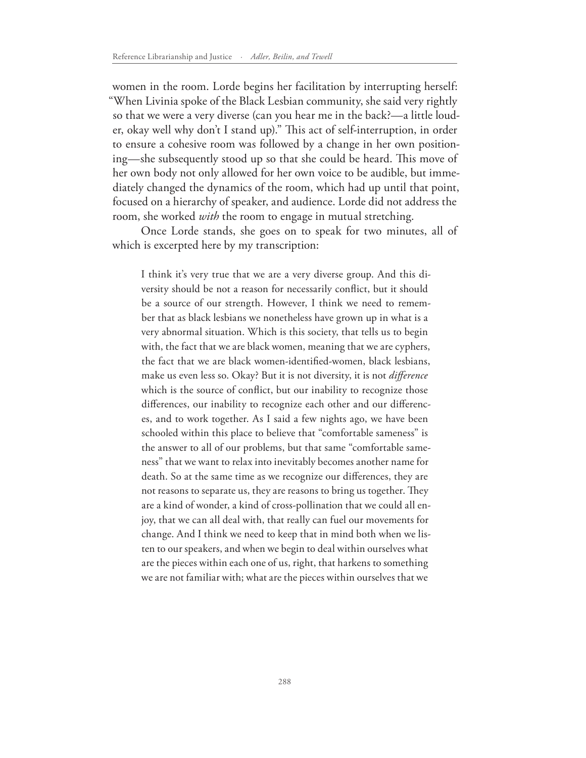women in the room. Lorde begins her facilitation by interrupting herself: "When Livinia spoke of the Black Lesbian community, she said very rightly so that we were a very diverse (can you hear me in the back?—a little louder, okay well why don't I stand up)." This act of self-interruption, in order to ensure a cohesive room was followed by a change in her own positioning—she subsequently stood up so that she could be heard. This move of her own body not only allowed for her own voice to be audible, but immediately changed the dynamics of the room, which had up until that point, focused on a hierarchy of speaker, and audience. Lorde did not address the room, she worked *with* the room to engage in mutual stretching.

Once Lorde stands, she goes on to speak for two minutes, all of which is excerpted here by my transcription:

I think it's very true that we are a very diverse group. And this diversity should be not a reason for necessarily confict, but it should be a source of our strength. However, I think we need to remember that as black lesbians we nonetheless have grown up in what is a very abnormal situation. Which is this society, that tells us to begin with, the fact that we are black women, meaning that we are cyphers, the fact that we are black women-identifed-women, black lesbians, make us even less so. Okay? But it is not diversity, it is not *diference* which is the source of conflict, but our inability to recognize those diferences, our inability to recognize each other and our diferences, and to work together. As I said a few nights ago, we have been schooled within this place to believe that "comfortable sameness" is the answer to all of our problems, but that same "comfortable sameness" that we want to relax into inevitably becomes another name for death. So at the same time as we recognize our diferences, they are not reasons to separate us, they are reasons to bring us together. They are a kind of wonder, a kind of cross-pollination that we could all enjoy, that we can all deal with, that really can fuel our movements for change. And I think we need to keep that in mind both when we listen to our speakers, and when we begin to deal within ourselves what are the pieces within each one of us, right, that harkens to something we are not familiar with; what are the pieces within ourselves that we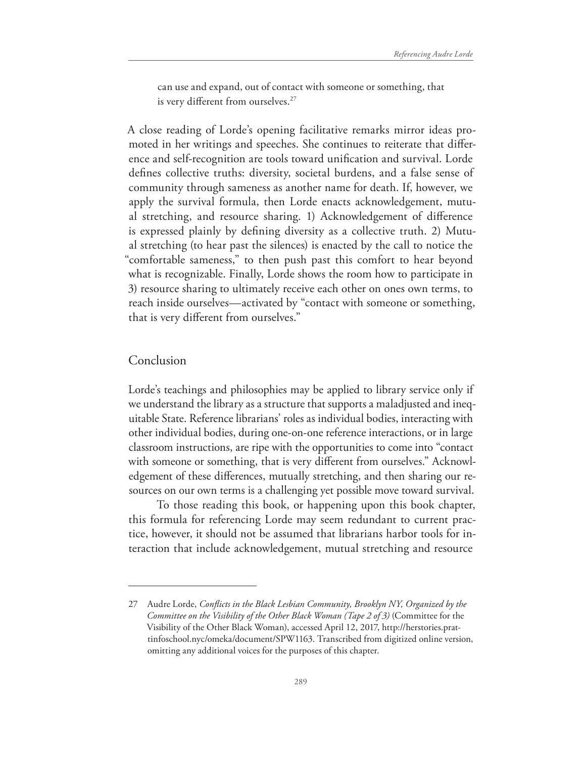can use and expand, out of contact with someone or something, that is very different from ourselves.<sup>27</sup>

A close reading of Lorde's opening facilitative remarks mirror ideas promoted in her writings and speeches. She continues to reiterate that diference and self-recognition are tools toward unifcation and survival. Lorde defnes collective truths: diversity, societal burdens, and a false sense of community through sameness as another name for death. If, however, we apply the survival formula, then Lorde enacts acknowledgement, mutual stretching, and resource sharing. 1) Acknowledgement of diference is expressed plainly by defning diversity as a collective truth. 2) Mutual stretching (to hear past the silences) is enacted by the call to notice the "comfortable sameness," to then push past this comfort to hear beyond what is recognizable. Finally, Lorde shows the room how to participate in 3) resource sharing to ultimately receive each other on ones own terms, to reach inside ourselves—activated by "contact with someone or something, that is very diferent from ourselves."

#### Conclusion

Lorde's teachings and philosophies may be applied to library service only if we understand the library as a structure that supports a maladjusted and inequitable State. Reference librarians' roles as individual bodies, interacting with other individual bodies, during one-on-one reference interactions, or in large classroom instructions, are ripe with the opportunities to come into "contact with someone or something, that is very diferent from ourselves." Acknowledgement of these diferences, mutually stretching, and then sharing our resources on our own terms is a challenging yet possible move toward survival.

To those reading this book, or happening upon this book chapter, this formula for referencing Lorde may seem redundant to current practice, however, it should not be assumed that librarians harbor tools for interaction that include acknowledgement, mutual stretching and resource

<sup>27</sup> Audre Lorde, *Conficts in the Black Lesbian Community, Brooklyn NY, Organized by the Committee on the Visibility of the Other Black Woman (Tape 2 of 3)* (Committee for the Visibility of the Other Black Woman), accessed April 12, 2017, http://herstories.prattinfoschool.nyc/omeka/document/SPW1163. Transcribed from digitized online version, omitting any additional voices for the purposes of this chapter.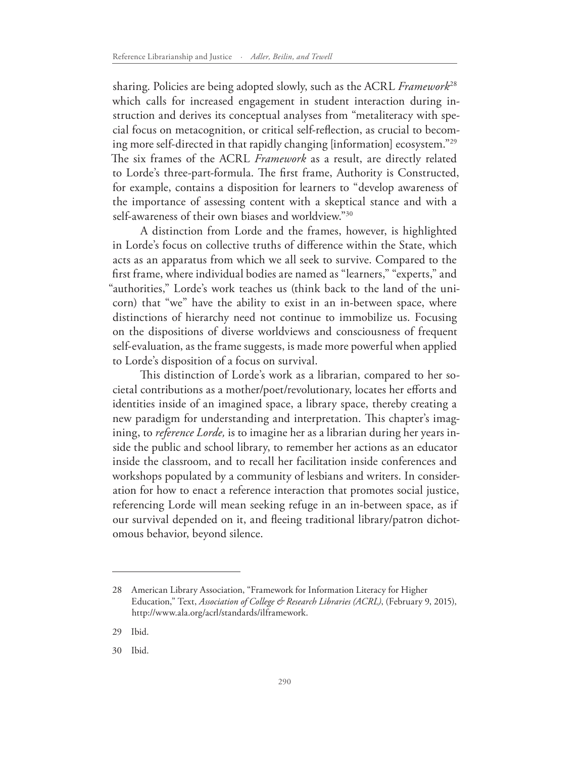sharing. Policies are being adopted slowly, such as the ACRL *Framework*<sup>28</sup> which calls for increased engagement in student interaction during instruction and derives its conceptual analyses from "metaliteracy with special focus on metacognition, or critical self-refection, as crucial to becoming more self-directed in that rapidly changing [information] ecosystem."29 The six frames of the ACRL *Framework* as a result, are directly related to Lorde's three-part-formula. The first frame, Authority is Constructed, for example, contains a disposition for learners to "develop awareness of the importance of assessing content with a skeptical stance and with a self-awareness of their own biases and worldview."30

A distinction from Lorde and the frames, however, is highlighted in Lorde's focus on collective truths of diference within the State, which acts as an apparatus from which we all seek to survive. Compared to the frst frame, where individual bodies are named as "learners," "experts," and "authorities," Lorde's work teaches us (think back to the land of the unicorn) that "we" have the ability to exist in an in-between space, where distinctions of hierarchy need not continue to immobilize us. Focusing on the dispositions of diverse worldviews and consciousness of frequent self-evaluation, as the frame suggests, is made more powerful when applied to Lorde's disposition of a focus on survival.

This distinction of Lorde's work as a librarian, compared to her societal contributions as a mother/poet/revolutionary, locates her efforts and identities inside of an imagined space, a library space, thereby creating a new paradigm for understanding and interpretation. This chapter's imagining, to *reference Lorde,* is to imagine her as a librarian during her years inside the public and school library, to remember her actions as an educator inside the classroom, and to recall her facilitation inside conferences and workshops populated by a community of lesbians and writers. In consideration for how to enact a reference interaction that promotes social justice, referencing Lorde will mean seeking refuge in an in-between space, as if our survival depended on it, and feeing traditional library/patron dichotomous behavior, beyond silence.

<sup>28</sup> American Library Association, "Framework for Information Literacy for Higher Education," Text, *Association of College & Research Libraries (ACRL)*, (February 9, 2015), http://www.ala.org/acrl/standards/ilframework.

<sup>29</sup> Ibid.

<sup>30</sup> Ibid.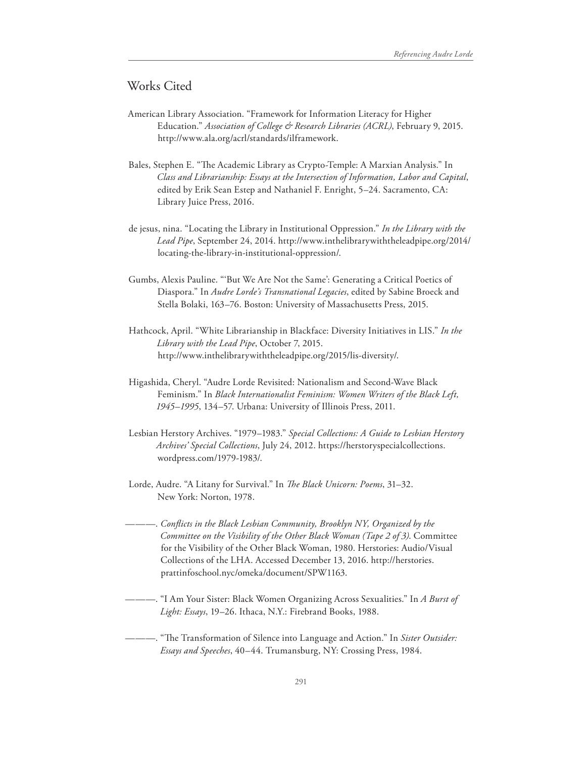### Works Cited

- American Library Association. "Framework for Information Literacy for Higher Education." *Association of College & Research Libraries (ACRL)*, February 9, 2015. http://www.ala.org/acrl/standards/ilframework.
- Bales, Stephen E. "The Academic Library as Crypto-Temple: A Marxian Analysis." In *Class and Librarianship: Essays at the Intersection of Information, Labor and Capital*, edited by Erik Sean Estep and Nathaniel F. Enright, 5–24. Sacramento, CA: Library Juice Press, 2016.
- de jesus, nina. "Locating the Library in Institutional Oppression." *In the Library with the Lead Pipe*, September 24, 2014. http://www.inthelibrarywiththeleadpipe.org/2014/ locating-the-library-in-institutional-oppression/.
- Gumbs, Alexis Pauline. "'But We Are Not the Same': Generating a Critical Poetics of Diaspora." In *Audre Lorde's Transnational Legacies*, edited by Sabine Broeck and Stella Bolaki, 163–76. Boston: University of Massachusetts Press, 2015.
- Hathcock, April. "White Librarianship in Blackface: Diversity Initiatives in LIS." *In the Library with the Lead Pipe*, October 7, 2015. http://www.inthelibrarywiththeleadpipe.org/2015/lis-diversity/.
- Higashida, Cheryl. "Audre Lorde Revisited: Nationalism and Second-Wave Black Feminism." In *Black Internationalist Feminism: Women Writers of the Black Left, 1945–1995*, 134–57. Urbana: University of Illinois Press, 2011.
- Lesbian Herstory Archives. "1979–1983." *Special Collections: A Guide to Lesbian Herstory Archives' Special Collections*, July 24, 2012. https://herstoryspecialcollections. wordpress.com/1979-1983/.
- Lorde, Audre. "A Litany for Survival." In *Te Black Unicorn: Poems*, 31–32. New York: Norton, 1978.
- ———. *Conficts in the Black Lesbian Community, Brooklyn NY, Organized by the Committee on the Visibility of the Other Black Woman (Tape 2 of 3)*. Committee for the Visibility of the Other Black Woman, 1980. Herstories: Audio/Visual Collections of the LHA. Accessed December 13, 2016. http://herstories. prattinfoschool.nyc/omeka/document/SPW1163.
- ———. "I Am Your Sister: Black Women Organizing Across Sexualities." In *A Burst of Light: Essays*, 19–26. Ithaca, N.Y.: Firebrand Books, 1988.
- ---- <sup>"</sup>The Transformation of Silence into Language and Action." In Sister Outsider: *Essays and Speeches*, 40–44. Trumansburg, NY: Crossing Press, 1984.